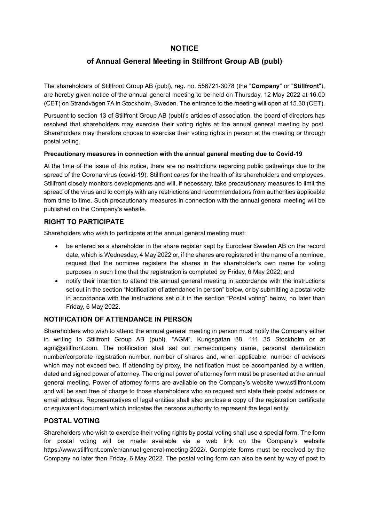# **NOTICE**

# **of Annual General Meeting in Stillfront Group AB (publ)**

The shareholders of Stillfront Group AB (publ), reg. no. 556721-3078 (the "**Company**" or "**Stillfront**"), are hereby given notice of the annual general meeting to be held on Thursday, 12 May 2022 at 16.00 (CET) on Strandvägen 7A in Stockholm, Sweden. The entrance to the meeting will open at 15.30 (CET).

Pursuant to section 13 of Stillfront Group AB (publ)'s articles of association, the board of directors has resolved that shareholders may exercise their voting rights at the annual general meeting by post. Shareholders may therefore choose to exercise their voting rights in person at the meeting or through postal voting.

#### **Precautionary measures in connection with the annual general meeting due to Covid-19**

At the time of the issue of this notice, there are no restrictions regarding public gatherings due to the spread of the Corona virus (covid-19). Stillfront cares for the health of its shareholders and employees. Stillfront closely monitors developments and will, if necessary, take precautionary measures to limit the spread of the virus and to comply with any restrictions and recommendations from authorities applicable from time to time. Such precautionary measures in connection with the annual general meeting will be published on the Company's website.

#### **RIGHT TO PARTICIPATE**

Shareholders who wish to participate at the annual general meeting must:

- be entered as a shareholder in the share register kept by Euroclear Sweden AB on the record date, which is Wednesday, 4 May 2022 or, if the shares are registered in the name of a nominee, request that the nominee registers the shares in the shareholder's own name for voting purposes in such time that the registration is completed by Friday, 6 May 2022; and
- notify their intention to attend the annual general meeting in accordance with the instructions set out in the section "Notification of attendance in person" below, or by submitting a postal vote in accordance with the instructions set out in the section "Postal voting" below, no later than Friday, 6 May 2022.

#### **NOTIFICATION OF ATTENDANCE IN PERSON**

Shareholders who wish to attend the annual general meeting in person must notify the Company either in writing to Stillfront Group AB (publ), "AGM", Kungsgatan 38, 111 35 Stockholm or at agm@stillfront.com. The notification shall set out name/company name, personal identification number/corporate registration number, number of shares and, when applicable, number of advisors which may not exceed two. If attending by proxy, the notification must be accompanied by a written, dated and signed power of attorney. The original power of attorney form must be presented at the annual general meeting. Power of attorney forms are available on the Company's website [www.stillfront.com](http://www.stillfront.com/) and will be sent free of charge to those shareholders who so request and state their postal address or email address. Representatives of legal entities shall also enclose a copy of the registration certificate or equivalent document which indicates the persons authority to represent the legal entity.

#### **POSTAL VOTING**

Shareholders who wish to exercise their voting rights by postal voting shall use a special form. The form for postal voting will be made available via a web link on the Company's website [https://www.stillfront.com/en/annual-general-meeting-2022/.](https://www.stillfront.com/en/annual-general-meeting-2022/) Complete forms must be received by the Company no later than Friday, 6 May 2022. The postal voting form can also be sent by way of post to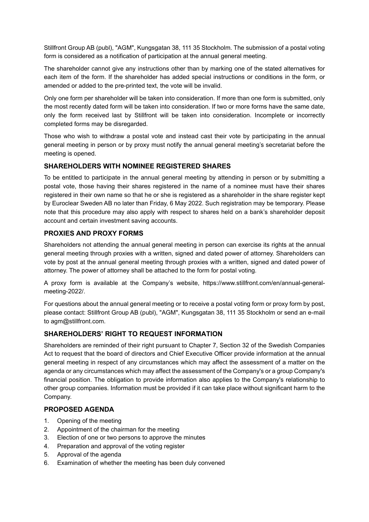Stillfront Group AB (publ), "AGM", Kungsgatan 38, 111 35 Stockholm. The submission of a postal voting form is considered as a notification of participation at the annual general meeting.

The shareholder cannot give any instructions other than by marking one of the stated alternatives for each item of the form. If the shareholder has added special instructions or conditions in the form, or amended or added to the pre-printed text, the vote will be invalid.

Only one form per shareholder will be taken into consideration. If more than one form is submitted, only the most recently dated form will be taken into consideration. If two or more forms have the same date, only the form received last by Stillfront will be taken into consideration. Incomplete or incorrectly completed forms may be disregarded.

Those who wish to withdraw a postal vote and instead cast their vote by participating in the annual general meeting in person or by proxy must notify the annual general meeting's secretariat before the meeting is opened.

## **SHAREHOLDERS WITH NOMINEE REGISTERED SHARES**

To be entitled to participate in the annual general meeting by attending in person or by submitting a postal vote, those having their shares registered in the name of a nominee must have their shares registered in their own name so that he or she is registered as a shareholder in the share register kept by Euroclear Sweden AB no later than Friday, 6 May 2022. Such registration may be temporary. Please note that this procedure may also apply with respect to shares held on a bank's shareholder deposit account and certain investment saving accounts.

# **PROXIES AND PROXY FORMS**

Shareholders not attending the annual general meeting in person can exercise its rights at the annual general meeting through proxies with a written, signed and dated power of attorney. Shareholders can vote by post at the annual general meeting through proxies with a written, signed and dated power of attorney. The power of attorney shall be attached to the form for postal voting.

A proxy form is available at the Company's website, https://www.stillfront.com/en/annual-generalmeeting-2022/.

For questions about the annual general meeting or to receive a postal voting form or proxy form by post, please contact: Stillfront Group AB (publ), "AGM", Kungsgatan 38, 111 35 Stockholm or send an e-mail to agm@stillfront.com.

# **SHAREHOLDERS' RIGHT TO REQUEST INFORMATION**

Shareholders are reminded of their right pursuant to Chapter 7, Section 32 of the Swedish Companies Act to request that the board of directors and Chief Executive Officer provide information at the annual general meeting in respect of any circumstances which may affect the assessment of a matter on the agenda or any circumstances which may affect the assessment of the Company's or a group Company's financial position. The obligation to provide information also applies to the Company's relationship to other group companies. Information must be provided if it can take place without significant harm to the Company.

## **PROPOSED AGENDA**

- 1. Opening of the meeting
- <span id="page-1-0"></span>2. Appointment of the chairman for the meeting
- <span id="page-1-1"></span>3. Election of one or two persons to approve the minutes
- <span id="page-1-2"></span>4. Preparation and approval of the voting register
- 5. Approval of the agenda
- 6. Examination of whether the meeting has been duly convened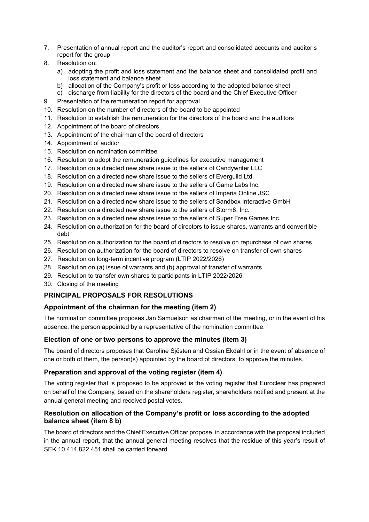- 7. Presentation of annual report and the auditor's report and consolidated accounts and auditor's report for the group
- <span id="page-2-0"></span>8. Resolution on:
	- a) adopting the profit and loss statement and the balance sheet and consolidated profit and loss statement and balance sheet
	- b) allocation of the Company's profit or loss according to the adopted balance sheet
	- c) discharge from liability for the directors of the board and the Chief Executive Officer
- <span id="page-2-1"></span>9. Presentation of the remuneration report for approval
- <span id="page-2-2"></span>10. Resolution on the number of directors of the board to be appointed
- <span id="page-2-3"></span>11. Resolution to establish the remuneration for the directors of the board and the auditors
- <span id="page-2-4"></span>12. Appointment of the board of directors
- <span id="page-2-5"></span>13. Appointment of the chairman of the board of directors
- <span id="page-2-6"></span>14. Appointment of auditor
- <span id="page-2-7"></span>15. Resolution on nomination committee
- <span id="page-2-8"></span>16. Resolution to adopt the remuneration guidelines for executive management
- <span id="page-2-9"></span>17. Resolution on a directed new share issue to the sellers of Candywriter LLC
- <span id="page-2-10"></span>18. Resolution on a directed new share issue to the sellers of Everguild Ltd.
- <span id="page-2-11"></span>19. Resolution on a directed new share issue to the sellers of Game Labs Inc.
- 20. Resolution on a directed new share issue to the sellers of Imperia Online JSC
- <span id="page-2-12"></span>21. Resolution on a directed new share issue to the sellers of Sandbox Interactive GmbH
- <span id="page-2-13"></span>22. Resolution on a directed new share issue to the sellers of Storm8, Inc.
- <span id="page-2-14"></span>23. Resolution on a directed new share issue to the sellers of Super Free Games Inc.
- <span id="page-2-15"></span>24. Resolution on authorization for the board of directors to issue shares, warrants and convertible debt
- <span id="page-2-16"></span>25. Resolution on authorization for the board of directors to resolve on repurchase of own shares
- <span id="page-2-17"></span>26. Resolution on authorization for the board of directors to resolve on transfer of own shares
- <span id="page-2-18"></span>27. Resolution on long-term incentive program (LTIP 2022/2026)
- <span id="page-2-19"></span>28. Resolution on (a) issue of warrants and (b) approval of transfer of warrants
- <span id="page-2-20"></span>29. Resolution to transfer own shares to participants in LTIP 2022/2026
- 30. Closing of the meeting

# **PRINCIPAL PROPOSALS FOR RESOLUTIONS**

## **Appointment of the chairman for the meeting (item [2\)](#page-1-0)**

The nomination committee proposes Jan Samuelson as chairman of the meeting, or in the event of his absence, the person appointed by a representative of the nomination committee.

## **Election of one or two persons to approve the minutes (item [3\)](#page-1-1)**

The board of directors proposes that Caroline Sjösten and Ossian Ekdahl or in the event of absence of one or both of them, the person(s) appointed by the board of directors, to approve the minutes.

## **Preparation and approval of the voting register (item [4\)](#page-1-2)**

The voting register that is proposed to be approved is the voting register that Euroclear has prepared on behalf of the Company, based on the shareholders register, shareholders notified and present at the annual general meeting and received postal votes.

## **Resolution on allocation of the Company's profit or loss according to the adopted balance sheet (item [8](#page-2-0) b)**

The board of directors and the Chief Executive Officer propose, in accordance with the proposal included in the annual report, that the annual general meeting resolves that the residue of this year's result of SEK 10,414,822,451 shall be carried forward.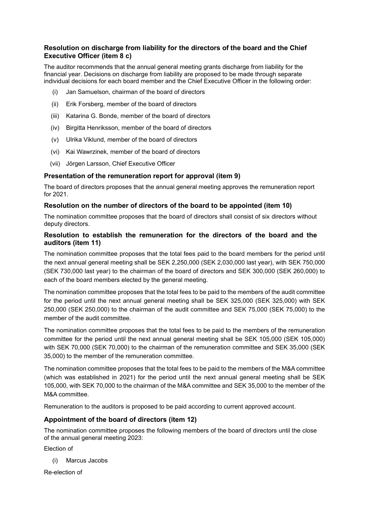## **Resolution on discharge from liability for the directors of the board and the Chief Executive Officer (item [8](#page-2-0) c)**

The auditor recommends that the annual general meeting grants discharge from liability for the financial year. Decisions on discharge from liability are proposed to be made through separate individual decisions for each board member and the Chief Executive Officer in the following order:

- (i) Jan Samuelson, chairman of the board of directors
- (ii) Erik Forsberg, member of the board of directors
- (iii) Katarina G. Bonde, member of the board of directors
- (iv) Birgitta Henriksson, member of the board of directors
- (v) Ulrika Viklund, member of the board of directors
- (vi) Kai Wawrzinek, member of the board of directors
- (vii) Jörgen Larsson, Chief Executive Officer

#### **Presentation of the remuneration report for approval (item [9\)](#page-2-1)**

The board of directors proposes that the annual general meeting approves the remuneration report for 2021.

#### **Resolution on the number of directors of the board to be appointed (item [10\)](#page-2-2)**

The nomination committee proposes that the board of directors shall consist of six directors without deputy directors.

#### **Resolution to establish the remuneration for the directors of the board and the auditors (item [11\)](#page-2-3)**

The nomination committee proposes that the total fees paid to the board members for the period until the next annual general meeting shall be SEK 2,250,000 (SEK 2,030,000 last year), with SEK 750,000 (SEK 730,000 last year) to the chairman of the board of directors and SEK 300,000 (SEK 260,000) to each of the board members elected by the general meeting.

The nomination committee proposes that the total fees to be paid to the members of the audit committee for the period until the next annual general meeting shall be SEK 325,000 (SEK 325,000) with SEK 250,000 (SEK 250,000) to the chairman of the audit committee and SEK 75,000 (SEK 75,000) to the member of the audit committee.

The nomination committee proposes that the total fees to be paid to the members of the remuneration committee for the period until the next annual general meeting shall be SEK 105,000 (SEK 105,000) with SEK 70,000 (SEK 70,000) to the chairman of the remuneration committee and SEK 35,000 (SEK 35,000) to the member of the remuneration committee.

The nomination committee proposes that the total fees to be paid to the members of the M&A committee (which was established in 2021) for the period until the next annual general meeting shall be SEK 105,000, with SEK 70,000 to the chairman of the M&A committee and SEK 35,000 to the member of the M&A committee.

Remuneration to the auditors is proposed to be paid according to current approved account.

#### **Appointment of the board of directors (item [12\)](#page-2-4)**

The nomination committee proposes the following members of the board of directors until the close of the annual general meeting 2023:

Election of

(i) Marcus Jacobs

Re-election of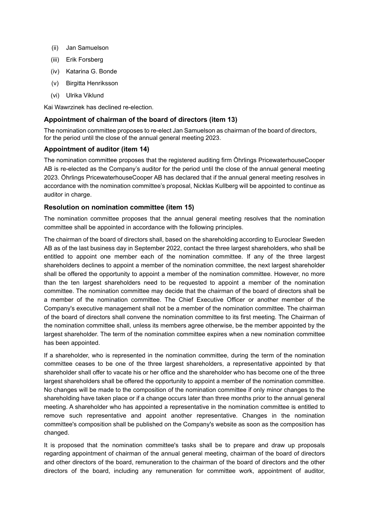- (ii) Jan Samuelson
- (iii) Erik Forsberg
- (iv) Katarina G. Bonde
- (v) Birgitta Henriksson
- (vi) Ulrika Viklund

Kai Wawrzinek has declined re-election.

#### **Appointment of chairman of the board of directors (item [13\)](#page-2-5)**

The nomination committee proposes to re-elect Jan Samuelson as chairman of the board of directors, for the period until the close of the annual general meeting 2023.

#### **Appointment of auditor (item [14\)](#page-2-6)**

The nomination committee proposes that the registered auditing firm Öhrlings PricewaterhouseCooper AB is re-elected as the Company's auditor for the period until the close of the annual general meeting 2023. Öhrlings PricewaterhouseCooper AB has declared that if the annual general meeting resolves in accordance with the nomination committee's proposal, Nicklas Kullberg will be appointed to continue as auditor in charge.

#### **Resolution on nomination committee (item [15\)](#page-2-7)**

The nomination committee proposes that the annual general meeting resolves that the nomination committee shall be appointed in accordance with the following principles.

The chairman of the board of directors shall, based on the shareholding according to Euroclear Sweden AB as of the last business day in September 2022, contact the three largest shareholders, who shall be entitled to appoint one member each of the nomination committee. If any of the three largest shareholders declines to appoint a member of the nomination committee, the next largest shareholder shall be offered the opportunity to appoint a member of the nomination committee. However, no more than the ten largest shareholders need to be requested to appoint a member of the nomination committee. The nomination committee may decide that the chairman of the board of directors shall be a member of the nomination committee. The Chief Executive Officer or another member of the Company's executive management shall not be a member of the nomination committee. The chairman of the board of directors shall convene the nomination committee to its first meeting. The Chairman of the nomination committee shall, unless its members agree otherwise, be the member appointed by the largest shareholder. The term of the nomination committee expires when a new nomination committee has been appointed.

If a shareholder, who is represented in the nomination committee, during the term of the nomination committee ceases to be one of the three largest shareholders, a representative appointed by that shareholder shall offer to vacate his or her office and the shareholder who has become one of the three largest shareholders shall be offered the opportunity to appoint a member of the nomination committee. No changes will be made to the composition of the nomination committee if only minor changes to the shareholding have taken place or if a change occurs later than three months prior to the annual general meeting. A shareholder who has appointed a representative in the nomination committee is entitled to remove such representative and appoint another representative. Changes in the nomination committee's composition shall be published on the Company's website as soon as the composition has changed.

It is proposed that the nomination committee's tasks shall be to prepare and draw up proposals regarding appointment of chairman of the annual general meeting, chairman of the board of directors and other directors of the board, remuneration to the chairman of the board of directors and the other directors of the board, including any remuneration for committee work, appointment of auditor,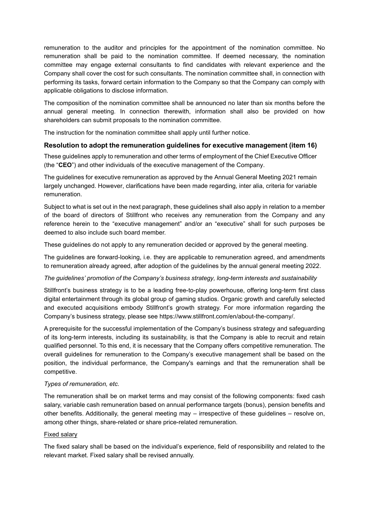remuneration to the auditor and principles for the appointment of the nomination committee. No remuneration shall be paid to the nomination committee. If deemed necessary, the nomination committee may engage external consultants to find candidates with relevant experience and the Company shall cover the cost for such consultants. The nomination committee shall, in connection with performing its tasks, forward certain information to the Company so that the Company can comply with applicable obligations to disclose information.

The composition of the nomination committee shall be announced no later than six months before the annual general meeting. In connection therewith, information shall also be provided on how shareholders can submit proposals to the nomination committee.

The instruction for the nomination committee shall apply until further notice.

#### **Resolution to adopt the remuneration guidelines for executive management (item [16\)](#page-2-8)**

These guidelines apply to remuneration and other terms of employment of the Chief Executive Officer (the "**CEO**") and other individuals of the executive management of the Company.

The guidelines for executive remuneration as approved by the Annual General Meeting 2021 remain largely unchanged. However, clarifications have been made regarding, inter alia, criteria for variable remuneration.

Subject to what is set out in the next paragraph, these guidelines shall also apply in relation to a member of the board of directors of Stillfront who receives any remuneration from the Company and any reference herein to the "executive management" and/or an "executive" shall for such purposes be deemed to also include such board member.

These guidelines do not apply to any remuneration decided or approved by the general meeting.

The guidelines are forward-looking, i.e. they are applicable to remuneration agreed, and amendments to remuneration already agreed, after adoption of the guidelines by the annual general meeting 2022.

#### *The guidelines' promotion of the Company's business strategy, long-term interests and sustainability*

Stillfront's business strategy is to be a leading free-to-play powerhouse, offering long-term first class digital entertainment through its global group of gaming studios. Organic growth and carefully selected and executed acquisitions embody Stillfront's growth strategy. For more information regarding the Company's business strategy, please see https://www.stillfront.com/en/about-the-company/.

A prerequisite for the successful implementation of the Company's business strategy and safeguarding of its long-term interests, including its sustainability, is that the Company is able to recruit and retain qualified personnel. To this end, it is necessary that the Company offers competitive remuneration. The overall guidelines for remuneration to the Company's executive management shall be based on the position, the individual performance, the Company's earnings and that the remuneration shall be competitive.

#### *Types of remuneration, etc.*

The remuneration shall be on market terms and may consist of the following components: fixed cash salary, variable cash remuneration based on annual performance targets (bonus), pension benefits and other benefits. Additionally, the general meeting may – irrespective of these guidelines – resolve on, among other things, share-related or share price-related remuneration.

#### Fixed salary

The fixed salary shall be based on the individual's experience, field of responsibility and related to the relevant market. Fixed salary shall be revised annually.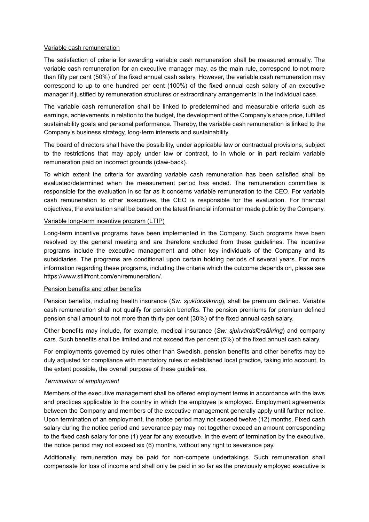#### Variable cash remuneration

The satisfaction of criteria for awarding variable cash remuneration shall be measured annually. The variable cash remuneration for an executive manager may, as the main rule, correspond to not more than fifty per cent (50%) of the fixed annual cash salary. However, the variable cash remuneration may correspond to up to one hundred per cent (100%) of the fixed annual cash salary of an executive manager if justified by remuneration structures or extraordinary arrangements in the individual case.

The variable cash remuneration shall be linked to predetermined and measurable criteria such as earnings, achievements in relation to the budget, the development of the Company's share price, fulfilled sustainability goals and personal performance. Thereby, the variable cash remuneration is linked to the Company's business strategy, long-term interests and sustainability.

The board of directors shall have the possibility, under applicable law or contractual provisions, subject to the restrictions that may apply under law or contract, to in whole or in part reclaim variable remuneration paid on incorrect grounds (claw-back).

To which extent the criteria for awarding variable cash remuneration has been satisfied shall be evaluated/determined when the measurement period has ended. The remuneration committee is responsible for the evaluation in so far as it concerns variable remuneration to the CEO. For variable cash remuneration to other executives, the CEO is responsible for the evaluation. For financial objectives, the evaluation shall be based on the latest financial information made public by the Company.

#### Variable long-term incentive program (LTIP)

Long-term incentive programs have been implemented in the Company. Such programs have been resolved by the general meeting and are therefore excluded from these guidelines. The incentive programs include the executive management and other key individuals of the Company and its subsidiaries. The programs are conditional upon certain holding periods of several years. For more information regarding these programs, including the criteria which the outcome depends on, please see https://www.stillfront.com/en/remuneration/.

#### Pension benefits and other benefits

Pension benefits, including health insurance (*Sw: sjukförsäkring*), shall be premium defined. Variable cash remuneration shall not qualify for pension benefits. The pension premiums for premium defined pension shall amount to not more than thirty per cent (30%) of the fixed annual cash salary.

Other benefits may include, for example, medical insurance (*Sw: sjukvårdsförsäkring*) and company cars. Such benefits shall be limited and not exceed five per cent (5%) of the fixed annual cash salary.

For employments governed by rules other than Swedish, pension benefits and other benefits may be duly adjusted for compliance with mandatory rules or established local practice, taking into account, to the extent possible, the overall purpose of these guidelines.

#### *Termination of employment*

Members of the executive management shall be offered employment terms in accordance with the laws and practices applicable to the country in which the employee is employed. Employment agreements between the Company and members of the executive management generally apply until further notice. Upon termination of an employment, the notice period may not exceed twelve (12) months. Fixed cash salary during the notice period and severance pay may not together exceed an amount corresponding to the fixed cash salary for one (1) year for any executive. In the event of termination by the executive, the notice period may not exceed six (6) months, without any right to severance pay.

Additionally, remuneration may be paid for non-compete undertakings. Such remuneration shall compensate for loss of income and shall only be paid in so far as the previously employed executive is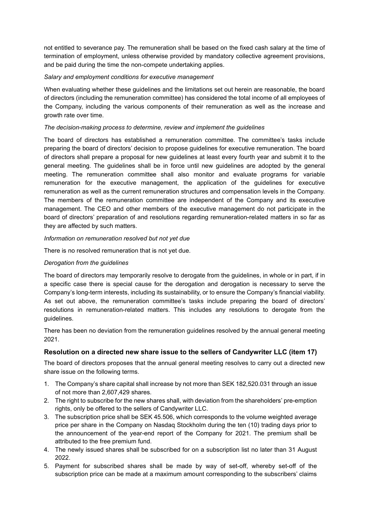not entitled to severance pay. The remuneration shall be based on the fixed cash salary at the time of termination of employment, unless otherwise provided by mandatory collective agreement provisions, and be paid during the time the non-compete undertaking applies.

#### *Salary and employment conditions for executive management*

When evaluating whether these guidelines and the limitations set out herein are reasonable, the board of directors (including the remuneration committee) has considered the total income of all employees of the Company, including the various components of their remuneration as well as the increase and growth rate over time.

#### *The decision-making process to determine, review and implement the guidelines*

The board of directors has established a remuneration committee. The committee's tasks include preparing the board of directors' decision to propose guidelines for executive remuneration. The board of directors shall prepare a proposal for new guidelines at least every fourth year and submit it to the general meeting. The guidelines shall be in force until new guidelines are adopted by the general meeting. The remuneration committee shall also monitor and evaluate programs for variable remuneration for the executive management, the application of the guidelines for executive remuneration as well as the current remuneration structures and compensation levels in the Company. The members of the remuneration committee are independent of the Company and its executive management. The CEO and other members of the executive management do not participate in the board of directors' preparation of and resolutions regarding remuneration-related matters in so far as they are affected by such matters.

#### *Information on remuneration resolved but not yet due*

There is no resolved remuneration that is not yet due.

#### *Derogation from the guidelines*

The board of directors may temporarily resolve to derogate from the guidelines, in whole or in part, if in a specific case there is special cause for the derogation and derogation is necessary to serve the Company's long-term interests, including its sustainability, or to ensure the Company's financial viability. As set out above, the remuneration committee's tasks include preparing the board of directors' resolutions in remuneration-related matters. This includes any resolutions to derogate from the guidelines.

There has been no deviation from the remuneration guidelines resolved by the annual general meeting 2021.

## **Resolution on a directed new share issue to the sellers of Candywriter LLC (item [17\)](#page-2-9)**

The board of directors proposes that the annual general meeting resolves to carry out a directed new share issue on the following terms.

- 1. The Company's share capital shall increase by not more than SEK 182,520.031 through an issue of not more than 2,607,429 shares.
- 2. The right to subscribe for the new shares shall, with deviation from the shareholders' pre-emption rights, only be offered to the sellers of Candywriter LLC.
- 3. The subscription price shall be SEK 45.506, which corresponds to the volume weighted average price per share in the Company on Nasdaq Stockholm during the ten (10) trading days prior to the announcement of the year-end report of the Company for 2021. The premium shall be attributed to the free premium fund.
- 4. The newly issued shares shall be subscribed for on a subscription list no later than 31 August 2022.
- 5. Payment for subscribed shares shall be made by way of set-off, whereby set-off of the subscription price can be made at a maximum amount corresponding to the subscribers' claims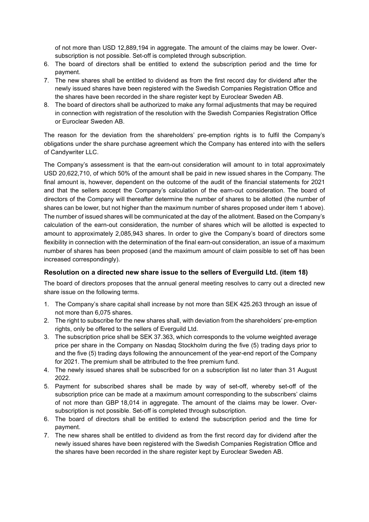of not more than USD 12,889,194 in aggregate. The amount of the claims may be lower. Oversubscription is not possible. Set-off is completed through subscription.

- 6. The board of directors shall be entitled to extend the subscription period and the time for payment.
- 7. The new shares shall be entitled to dividend as from the first record day for dividend after the newly issued shares have been registered with the Swedish Companies Registration Office and the shares have been recorded in the share register kept by Euroclear Sweden AB.
- 8. The board of directors shall be authorized to make any formal adjustments that may be required in connection with registration of the resolution with the Swedish Companies Registration Office or Euroclear Sweden AB.

The reason for the deviation from the shareholders' pre-emption rights is to fulfil the Company's obligations under the share purchase agreement which the Company has entered into with the sellers of Candywriter LLC.

The Company's assessment is that the earn-out consideration will amount to in total approximately USD 20,622,710, of which 50% of the amount shall be paid in new issued shares in the Company. The final amount is, however, dependent on the outcome of the audit of the financial statements for 2021 and that the sellers accept the Company's calculation of the earn-out consideration. The board of directors of the Company will thereafter determine the number of shares to be allotted (the number of shares can be lower, but not higher than the maximum number of shares proposed under item 1 above). The number of issued shares will be communicated at the day of the allotment. Based on the Company's calculation of the earn-out consideration, the number of shares which will be allotted is expected to amount to approximately 2,085,943 shares. In order to give the Company's board of directors some flexibility in connection with the determination of the final earn-out consideration, an issue of a maximum number of shares has been proposed (and the maximum amount of claim possible to set off has been increased correspondingly).

## **Resolution on a directed new share issue to the sellers of Everguild Ltd. (item [18\)](#page-2-10)**

The board of directors proposes that the annual general meeting resolves to carry out a directed new share issue on the following terms.

- 1. The Company's share capital shall increase by not more than SEK 425.263 through an issue of not more than 6,075 shares.
- 2. The right to subscribe for the new shares shall, with deviation from the shareholders' pre-emption rights, only be offered to the sellers of Everguild Ltd.
- 3. The subscription price shall be SEK 37.363, which corresponds to the volume weighted average price per share in the Company on Nasdaq Stockholm during the five (5) trading days prior to and the five (5) trading days following the announcement of the year-end report of the Company for 2021. The premium shall be attributed to the free premium fund.
- 4. The newly issued shares shall be subscribed for on a subscription list no later than 31 August 2022.
- 5. Payment for subscribed shares shall be made by way of set-off, whereby set-off of the subscription price can be made at a maximum amount corresponding to the subscribers' claims of not more than GBP 18,014 in aggregate. The amount of the claims may be lower. Oversubscription is not possible. Set-off is completed through subscription.
- 6. The board of directors shall be entitled to extend the subscription period and the time for payment.
- 7. The new shares shall be entitled to dividend as from the first record day for dividend after the newly issued shares have been registered with the Swedish Companies Registration Office and the shares have been recorded in the share register kept by Euroclear Sweden AB.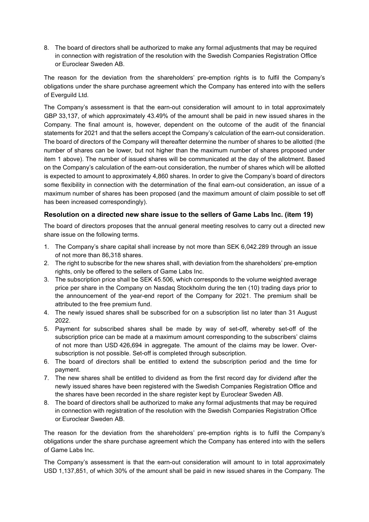8. The board of directors shall be authorized to make any formal adjustments that may be required in connection with registration of the resolution with the Swedish Companies Registration Office or Euroclear Sweden AB.

The reason for the deviation from the shareholders' pre-emption rights is to fulfil the Company's obligations under the share purchase agreement which the Company has entered into with the sellers of Everguild Ltd.

The Company's assessment is that the earn-out consideration will amount to in total approximately GBP 33,137, of which approximately 43.49% of the amount shall be paid in new issued shares in the Company. The final amount is, however, dependent on the outcome of the audit of the financial statements for 2021 and that the sellers accept the Company's calculation of the earn-out consideration. The board of directors of the Company will thereafter determine the number of shares to be allotted (the number of shares can be lower, but not higher than the maximum number of shares proposed under item 1 above). The number of issued shares will be communicated at the day of the allotment. Based on the Company's calculation of the earn-out consideration, the number of shares which will be allotted is expected to amount to approximately 4,860 shares. In order to give the Company's board of directors some flexibility in connection with the determination of the final earn-out consideration, an issue of a maximum number of shares has been proposed (and the maximum amount of claim possible to set off has been increased correspondingly).

## **Resolution on a directed new share issue to the sellers of Game Labs Inc. (item [19\)](#page-2-11)**

The board of directors proposes that the annual general meeting resolves to carry out a directed new share issue on the following terms.

- 1. The Company's share capital shall increase by not more than SEK 6,042.289 through an issue of not more than 86,318 shares.
- 2. The right to subscribe for the new shares shall, with deviation from the shareholders' pre-emption rights, only be offered to the sellers of Game Labs Inc.
- 3. The subscription price shall be SEK 45.506, which corresponds to the volume weighted average price per share in the Company on Nasdaq Stockholm during the ten (10) trading days prior to the announcement of the year-end report of the Company for 2021. The premium shall be attributed to the free premium fund.
- 4. The newly issued shares shall be subscribed for on a subscription list no later than 31 August 2022.
- 5. Payment for subscribed shares shall be made by way of set-off, whereby set-off of the subscription price can be made at a maximum amount corresponding to the subscribers' claims of not more than USD 426,694 in aggregate. The amount of the claims may be lower. Oversubscription is not possible. Set-off is completed through subscription.
- 6. The board of directors shall be entitled to extend the subscription period and the time for payment.
- 7. The new shares shall be entitled to dividend as from the first record day for dividend after the newly issued shares have been registered with the Swedish Companies Registration Office and the shares have been recorded in the share register kept by Euroclear Sweden AB.
- 8. The board of directors shall be authorized to make any formal adjustments that may be required in connection with registration of the resolution with the Swedish Companies Registration Office or Euroclear Sweden AB.

The reason for the deviation from the shareholders' pre-emption rights is to fulfil the Company's obligations under the share purchase agreement which the Company has entered into with the sellers of Game Labs Inc.

The Company's assessment is that the earn-out consideration will amount to in total approximately USD 1,137,851, of which 30% of the amount shall be paid in new issued shares in the Company. The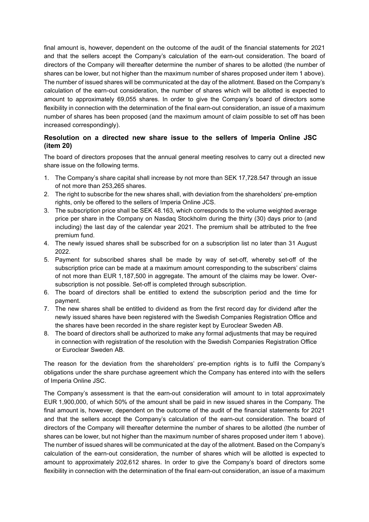final amount is, however, dependent on the outcome of the audit of the financial statements for 2021 and that the sellers accept the Company's calculation of the earn-out consideration. The board of directors of the Company will thereafter determine the number of shares to be allotted (the number of shares can be lower, but not higher than the maximum number of shares proposed under item 1 above). The number of issued shares will be communicated at the day of the allotment. Based on the Company's calculation of the earn-out consideration, the number of shares which will be allotted is expected to amount to approximately 69,055 shares. In order to give the Company's board of directors some flexibility in connection with the determination of the final earn-out consideration, an issue of a maximum number of shares has been proposed (and the maximum amount of claim possible to set off has been increased correspondingly).

## **Resolution on a directed new share issue to the sellers of Imperia Online JSC (item 20)**

The board of directors proposes that the annual general meeting resolves to carry out a directed new share issue on the following terms.

- 1. The Company's share capital shall increase by not more than SEK 17,728.547 through an issue of not more than 253,265 shares.
- 2. The right to subscribe for the new shares shall, with deviation from the shareholders' pre-emption rights, only be offered to the sellers of Imperia Online JCS.
- 3. The subscription price shall be SEK 48.163, which corresponds to the volume weighted average price per share in the Company on Nasdaq Stockholm during the thirty (30) days prior to (and including) the last day of the calendar year 2021. The premium shall be attributed to the free premium fund.
- 4. The newly issued shares shall be subscribed for on a subscription list no later than 31 August 2022.
- 5. Payment for subscribed shares shall be made by way of set-off, whereby set-off of the subscription price can be made at a maximum amount corresponding to the subscribers' claims of not more than EUR 1,187,500 in aggregate. The amount of the claims may be lower. Oversubscription is not possible. Set-off is completed through subscription.
- 6. The board of directors shall be entitled to extend the subscription period and the time for payment.
- 7. The new shares shall be entitled to dividend as from the first record day for dividend after the newly issued shares have been registered with the Swedish Companies Registration Office and the shares have been recorded in the share register kept by Euroclear Sweden AB.
- 8. The board of directors shall be authorized to make any formal adjustments that may be required in connection with registration of the resolution with the Swedish Companies Registration Office or Euroclear Sweden AB.

The reason for the deviation from the shareholders' pre-emption rights is to fulfil the Company's obligations under the share purchase agreement which the Company has entered into with the sellers of Imperia Online JSC.

The Company's assessment is that the earn-out consideration will amount to in total approximately EUR 1,900,000, of which 50% of the amount shall be paid in new issued shares in the Company. The final amount is, however, dependent on the outcome of the audit of the financial statements for 2021 and that the sellers accept the Company's calculation of the earn-out consideration. The board of directors of the Company will thereafter determine the number of shares to be allotted (the number of shares can be lower, but not higher than the maximum number of shares proposed under item 1 above). The number of issued shares will be communicated at the day of the allotment. Based on the Company's calculation of the earn-out consideration, the number of shares which will be allotted is expected to amount to approximately 202,612 shares. In order to give the Company's board of directors some flexibility in connection with the determination of the final earn-out consideration, an issue of a maximum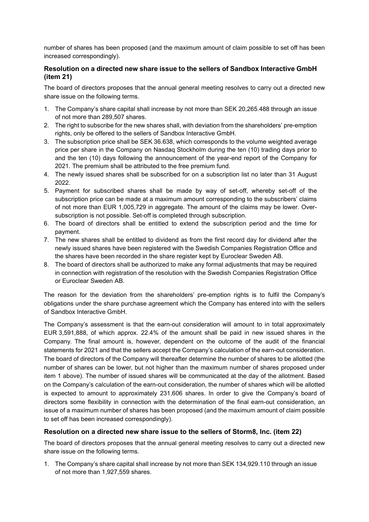number of shares has been proposed (and the maximum amount of claim possible to set off has been increased correspondingly).

## **Resolution on a directed new share issue to the sellers of Sandbox Interactive GmbH (item [21\)](#page-2-12)**

The board of directors proposes that the annual general meeting resolves to carry out a directed new share issue on the following terms.

- 1. The Company's share capital shall increase by not more than SEK 20,265.488 through an issue of not more than 289,507 shares.
- 2. The right to subscribe for the new shares shall, with deviation from the shareholders' pre-emption rights, only be offered to the sellers of Sandbox Interactive GmbH.
- 3. The subscription price shall be SEK 36.638, which corresponds to the volume weighted average price per share in the Company on Nasdaq Stockholm during the ten (10) trading days prior to and the ten (10) days following the announcement of the year-end report of the Company for 2021. The premium shall be attributed to the free premium fund.
- 4. The newly issued shares shall be subscribed for on a subscription list no later than 31 August 2022.
- 5. Payment for subscribed shares shall be made by way of set-off, whereby set-off of the subscription price can be made at a maximum amount corresponding to the subscribers' claims of not more than EUR 1,005,729 in aggregate. The amount of the claims may be lower. Oversubscription is not possible. Set-off is completed through subscription.
- 6. The board of directors shall be entitled to extend the subscription period and the time for payment.
- 7. The new shares shall be entitled to dividend as from the first record day for dividend after the newly issued shares have been registered with the Swedish Companies Registration Office and the shares have been recorded in the share register kept by Euroclear Sweden AB.
- 8. The board of directors shall be authorized to make any formal adjustments that may be required in connection with registration of the resolution with the Swedish Companies Registration Office or Euroclear Sweden AB.

The reason for the deviation from the shareholders' pre-emption rights is to fulfil the Company's obligations under the share purchase agreement which the Company has entered into with the sellers of Sandbox Interactive GmbH.

The Company's assessment is that the earn-out consideration will amount to in total approximately EUR 3,591,888, of which approx. 22.4% of the amount shall be paid in new issued shares in the Company. The final amount is, however, dependent on the outcome of the audit of the financial statements for 2021 and that the sellers accept the Company's calculation of the earn-out consideration. The board of directors of the Company will thereafter determine the number of shares to be allotted (the number of shares can be lower, but not higher than the maximum number of shares proposed under item 1 above). The number of issued shares will be communicated at the day of the allotment. Based on the Company's calculation of the earn-out consideration, the number of shares which will be allotted is expected to amount to approximately 231,606 shares. In order to give the Company's board of directors some flexibility in connection with the determination of the final earn-out consideration, an issue of a maximum number of shares has been proposed (and the maximum amount of claim possible to set off has been increased correspondingly).

## **Resolution on a directed new share issue to the sellers of Storm8, Inc. (item [22\)](#page-2-13)**

The board of directors proposes that the annual general meeting resolves to carry out a directed new share issue on the following terms.

1. The Company's share capital shall increase by not more than SEK 134,929.110 through an issue of not more than 1,927,559 shares.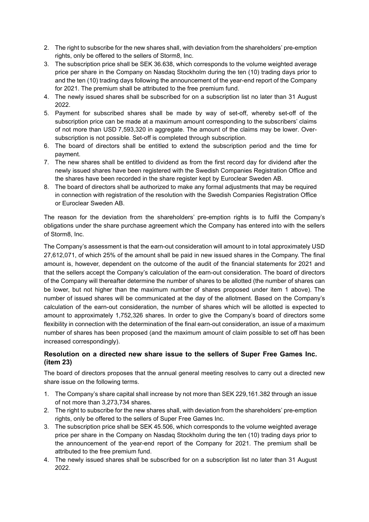- 2. The right to subscribe for the new shares shall, with deviation from the shareholders' pre-emption rights, only be offered to the sellers of Storm8, Inc.
- 3. The subscription price shall be SEK 36.638, which corresponds to the volume weighted average price per share in the Company on Nasdaq Stockholm during the ten (10) trading days prior to and the ten (10) trading days following the announcement of the year-end report of the Company for 2021. The premium shall be attributed to the free premium fund.
- 4. The newly issued shares shall be subscribed for on a subscription list no later than 31 August 2022.
- 5. Payment for subscribed shares shall be made by way of set-off, whereby set-off of the subscription price can be made at a maximum amount corresponding to the subscribers' claims of not more than USD 7,593,320 in aggregate. The amount of the claims may be lower. Oversubscription is not possible. Set-off is completed through subscription.
- 6. The board of directors shall be entitled to extend the subscription period and the time for payment.
- 7. The new shares shall be entitled to dividend as from the first record day for dividend after the newly issued shares have been registered with the Swedish Companies Registration Office and the shares have been recorded in the share register kept by Euroclear Sweden AB.
- 8. The board of directors shall be authorized to make any formal adjustments that may be required in connection with registration of the resolution with the Swedish Companies Registration Office or Euroclear Sweden AB.

The reason for the deviation from the shareholders' pre-emption rights is to fulfil the Company's obligations under the share purchase agreement which the Company has entered into with the sellers of Storm8, Inc.

The Company's assessment is that the earn-out consideration will amount to in total approximately USD 27,612,071, of which 25% of the amount shall be paid in new issued shares in the Company. The final amount is, however, dependent on the outcome of the audit of the financial statements for 2021 and that the sellers accept the Company's calculation of the earn-out consideration. The board of directors of the Company will thereafter determine the number of shares to be allotted (the number of shares can be lower, but not higher than the maximum number of shares proposed under item 1 above). The number of issued shares will be communicated at the day of the allotment. Based on the Company's calculation of the earn-out consideration, the number of shares which will be allotted is expected to amount to approximately 1,752,326 shares. In order to give the Company's board of directors some flexibility in connection with the determination of the final earn-out consideration, an issue of a maximum number of shares has been proposed (and the maximum amount of claim possible to set off has been increased correspondingly).

## **Resolution on a directed new share issue to the sellers of Super Free Games Inc. (item [23\)](#page-2-14)**

The board of directors proposes that the annual general meeting resolves to carry out a directed new share issue on the following terms.

- 1. The Company's share capital shall increase by not more than SEK 229,161.382 through an issue of not more than 3,273,734 shares.
- 2. The right to subscribe for the new shares shall, with deviation from the shareholders' pre-emption rights, only be offered to the sellers of Super Free Games Inc.
- 3. The subscription price shall be SEK 45.506, which corresponds to the volume weighted average price per share in the Company on Nasdaq Stockholm during the ten (10) trading days prior to the announcement of the year-end report of the Company for 2021. The premium shall be attributed to the free premium fund.
- 4. The newly issued shares shall be subscribed for on a subscription list no later than 31 August 2022.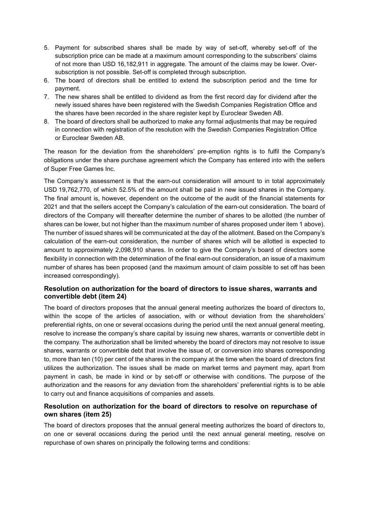- 5. Payment for subscribed shares shall be made by way of set-off, whereby set-off of the subscription price can be made at a maximum amount corresponding to the subscribers' claims of not more than USD 16,182,911 in aggregate. The amount of the claims may be lower. Oversubscription is not possible. Set-off is completed through subscription.
- 6. The board of directors shall be entitled to extend the subscription period and the time for payment.
- 7. The new shares shall be entitled to dividend as from the first record day for dividend after the newly issued shares have been registered with the Swedish Companies Registration Office and the shares have been recorded in the share register kept by Euroclear Sweden AB.
- 8. The board of directors shall be authorized to make any formal adjustments that may be required in connection with registration of the resolution with the Swedish Companies Registration Office or Euroclear Sweden AB.

The reason for the deviation from the shareholders' pre-emption rights is to fulfil the Company's obligations under the share purchase agreement which the Company has entered into with the sellers of Super Free Games Inc.

The Company's assessment is that the earn-out consideration will amount to in total approximately USD 19,762,770, of which 52.5% of the amount shall be paid in new issued shares in the Company. The final amount is, however, dependent on the outcome of the audit of the financial statements for 2021 and that the sellers accept the Company's calculation of the earn-out consideration. The board of directors of the Company will thereafter determine the number of shares to be allotted (the number of shares can be lower, but not higher than the maximum number of shares proposed under item 1 above). The number of issued shares will be communicated at the day of the allotment. Based on the Company's calculation of the earn-out consideration, the number of shares which will be allotted is expected to amount to approximately 2,098,910 shares. In order to give the Company's board of directors some flexibility in connection with the determination of the final earn-out consideration, an issue of a maximum number of shares has been proposed (and the maximum amount of claim possible to set off has been increased correspondingly).

## **Resolution on authorization for the board of directors to issue shares, warrants and convertible debt (item [24\)](#page-2-15)**

The board of directors proposes that the annual general meeting authorizes the board of directors to, within the scope of the articles of association, with or without deviation from the shareholders' preferential rights, on one or several occasions during the period until the next annual general meeting, resolve to increase the company's share capital by issuing new shares, warrants or convertible debt in the company. The authorization shall be limited whereby the board of directors may not resolve to issue shares, warrants or convertible debt that involve the issue of, or conversion into shares corresponding to, more than ten (10) per cent of the shares in the company at the time when the board of directors first utilizes the authorization. The issues shall be made on market terms and payment may, apart from payment in cash, be made in kind or by set-off or otherwise with conditions. The purpose of the authorization and the reasons for any deviation from the shareholders' preferential rights is to be able to carry out and finance acquisitions of companies and assets.

## **Resolution on authorization for the board of directors to resolve on repurchase of own shares (item [25\)](#page-2-16)**

The board of directors proposes that the annual general meeting authorizes the board of directors to, on one or several occasions during the period until the next annual general meeting, resolve on repurchase of own shares on principally the following terms and conditions: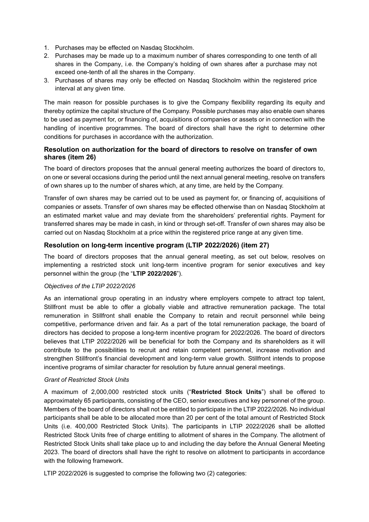- 1. Purchases may be effected on Nasdaq Stockholm.
- 2. Purchases may be made up to a maximum number of shares corresponding to one tenth of all shares in the Company, i.e. the Company's holding of own shares after a purchase may not exceed one-tenth of all the shares in the Company.
- 3. Purchases of shares may only be effected on Nasdaq Stockholm within the registered price interval at any given time.

The main reason for possible purchases is to give the Company flexibility regarding its equity and thereby optimize the capital structure of the Company. Possible purchases may also enable own shares to be used as payment for, or financing of, acquisitions of companies or assets or in connection with the handling of incentive programmes. The board of directors shall have the right to determine other conditions for purchases in accordance with the authorization.

#### **Resolution on authorization for the board of directors to resolve on transfer of own shares (item [26\)](#page-2-17)**

The board of directors proposes that the annual general meeting authorizes the board of directors to, on one or several occasions during the period until the next annual general meeting, resolve on transfers of own shares up to the number of shares which, at any time, are held by the Company.

Transfer of own shares may be carried out to be used as payment for, or financing of, acquisitions of companies or assets. Transfer of own shares may be effected otherwise than on Nasdaq Stockholm at an estimated market value and may deviate from the shareholders' preferential rights. Payment for transferred shares may be made in cash, in kind or through set-off. Transfer of own shares may also be carried out on Nasdaq Stockholm at a price within the registered price range at any given time.

## **Resolution on long-term incentive program (LTIP 2022/2026) (item [27\)](#page-2-18)**

The board of directors proposes that the annual general meeting, as set out below, resolves on implementing a restricted stock unit long-term incentive program for senior executives and key personnel within the group (the "**LTIP 2022/2026**").

#### *Objectives of the LTIP 2022/2026*

As an international group operating in an industry where employers compete to attract top talent, Stillfront must be able to offer a globally viable and attractive remuneration package. The total remuneration in Stillfront shall enable the Company to retain and recruit personnel while being competitive, performance driven and fair. As a part of the total remuneration package, the board of directors has decided to propose a long-term incentive program for 2022/2026. The board of directors believes that LTIP 2022/2026 will be beneficial for both the Company and its shareholders as it will contribute to the possibilities to recruit and retain competent personnel, increase motivation and strengthen Stillfront's financial development and long-term value growth. Stillfront intends to propose incentive programs of similar character for resolution by future annual general meetings.

#### *Grant of Restricted Stock Units*

A maximum of 2,000,000 restricted stock units ("**Restricted Stock Units**") shall be offered to approximately 65 participants, consisting of the CEO, senior executives and key personnel of the group. Members of the board of directors shall not be entitled to participate in the LTIP 2022/2026. No individual participants shall be able to be allocated more than 20 per cent of the total amount of Restricted Stock Units (i.e. 400,000 Restricted Stock Units). The participants in LTIP 2022/2026 shall be allotted Restricted Stock Units free of charge entitling to allotment of shares in the Company. The allotment of Restricted Stock Units shall take place up to and including the day before the Annual General Meeting 2023. The board of directors shall have the right to resolve on allotment to participants in accordance with the following framework.

LTIP 2022/2026 is suggested to comprise the following two (2) categories: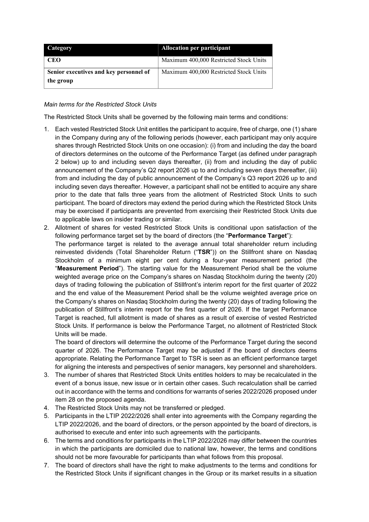| Category                                            | Allocation per participant             |
|-----------------------------------------------------|----------------------------------------|
| CEO                                                 | Maximum 400,000 Restricted Stock Units |
| Senior executives and key personnel of<br>the group | Maximum 400,000 Restricted Stock Units |

#### *Main terms for the Restricted Stock Units*

The Restricted Stock Units shall be governed by the following main terms and conditions:

- 1. Each vested Restricted Stock Unit entitles the participant to acquire, free of charge, one (1) share in the Company during any of the following periods (however, each participant may only acquire shares through Restricted Stock Units on one occasion): (i) from and including the day the board of directors determines on the outcome of the Performance Target (as defined under paragraph 2 below) up to and including seven days thereafter, (ii) from and including the day of public announcement of the Company's Q2 report 2026 up to and including seven days thereafter, (iii) from and including the day of public announcement of the Company's Q3 report 2026 up to and including seven days thereafter. However, a participant shall not be entitled to acquire any share prior to the date that falls three years from the allotment of Restricted Stock Units to such participant. The board of directors may extend the period during which the Restricted Stock Units may be exercised if participants are prevented from exercising their Restricted Stock Units due to applicable laws on insider trading or similar.
- 2. Allotment of shares for vested Restricted Stock Units is conditional upon satisfaction of the following performance target set by the board of directors (the "**Performance Target**"):

The performance target is related to the average annual total shareholder return including reinvested dividends (Total Shareholder Return ("**TSR**")) on the Stillfront share on Nasdaq Stockholm of a minimum eight per cent during a four-year measurement period (the "**Measurement Period**"). The starting value for the Measurement Period shall be the volume weighted average price on the Company's shares on Nasdaq Stockholm during the twenty (20) days of trading following the publication of Stillfront's interim report for the first quarter of 2022 and the end value of the Measurement Period shall be the volume weighted average price on the Company's shares on Nasdaq Stockholm during the twenty (20) days of trading following the publication of Stillfront's interim report for the first quarter of 2026. If the target Performance Target is reached, full allotment is made of shares as a result of exercise of vested Restricted Stock Units. If performance is below the Performance Target, no allotment of Restricted Stock Units will be made.

The board of directors will determine the outcome of the Performance Target during the second quarter of 2026. The Performance Target may be adjusted if the board of directors deems appropriate. Relating the Performance Target to TSR is seen as an efficient performance target for aligning the interests and perspectives of senior managers, key personnel and shareholders.

- 3. The number of shares that Restricted Stock Units entitles holders to may be recalculated in the event of a bonus issue, new issue or in certain other cases. Such recalculation shall be carried out in accordance with the terms and conditions for warrants of series 2022/2026 proposed under item [28](#page-2-19) on the proposed agenda.
- 4. The Restricted Stock Units may not be transferred or pledged.
- 5. Participants in the LTIP 2022/2026 shall enter into agreements with the Company regarding the LTIP 2022/2026, and the board of directors, or the person appointed by the board of directors, is authorised to execute and enter into such agreements with the participants.
- 6. The terms and conditions for participants in the LTIP 2022/2026 may differ between the countries in which the participants are domiciled due to national law, however, the terms and conditions should not be more favourable for participants than what follows from this proposal.
- 7. The board of directors shall have the right to make adjustments to the terms and conditions for the Restricted Stock Units if significant changes in the Group or its market results in a situation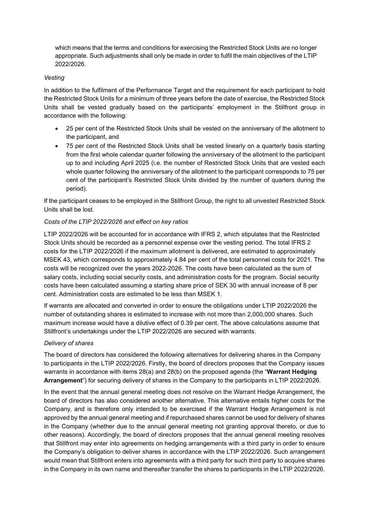which means that the terms and conditions for exercising the Restricted Stock Units are no longer appropriate. Such adjustments shall only be made in order to fulfil the main objectives of the LTIP 2022/2026.

#### *Vesting*

In addition to the fulfilment of the Performance Target and the requirement for each participant to hold the Restricted Stock Units for a minimum of three years before the date of exercise, the Restricted Stock Units shall be vested gradually based on the participants' employment in the Stillfront group in accordance with the following:

- 25 per cent of the Restricted Stock Units shall be vested on the anniversary of the allotment to the participant, and
- 75 per cent of the Restricted Stock Units shall be vested linearly on a quarterly basis starting from the first whole calendar quarter following the anniversary of the allotment to the participant up to and including April 2025 (i.e. the number of Restricted Stock Units that are vested each whole quarter following the anniversary of the allotment to the participant corresponds to 75 per cent of the participant's Restricted Stock Units divided by the number of quarters during the period).

If the participant ceases to be employed in the Stillfront Group, the right to all unvested Restricted Stock Units shall be lost.

#### *Costs of the LTIP 2022/2026 and effect on key ratios*

LTIP 2022/2026 will be accounted for in accordance with IFRS 2, which stipulates that the Restricted Stock Units should be recorded as a personnel expense over the vesting period. The total IFRS 2 costs for the LTIP 2022/2026 if the maximum allotment is delivered, are estimated to approximately MSEK 43, which corresponds to approximately 4.84 per cent of the total personnel costs for 2021. The costs will be recognized over the years 2022-2026. The costs have been calculated as the sum of salary costs, including social security costs, and administration costs for the program. Social security costs have been calculated assuming a starting share price of SEK 30 with annual increase of 8 per cent. Administration costs are estimated to be less than MSEK 1.

If warrants are allocated and converted in order to ensure the obligations under LTIP 2022/2026 the number of outstanding shares is estimated to increase with not more than 2,000,000 shares. Such maximum increase would have a dilutive effect of 0.39 per cent. The above calculations assume that Stillfront's undertakings under the LTIP 2022/2026 are secured with warrants.

#### *Delivery of shares*

The board of directors has considered the following alternatives for delivering shares in the Company to participants in the LTIP 2022/2026. Firstly, the board of directors proposes that the Company issues warrants in accordance with items [28\(](#page-2-19)a) and 28(b) on the proposed agenda (the "**Warrant Hedging Arrangement**") for securing delivery of shares in the Company to the participants in LTIP 2022/2026.

In the event that the annual general meeting does not resolve on the Warrant Hedge Arrangement, the board of directors has also considered another alternative. This alternative entails higher costs for the Company, and is therefore only intended to be exercised if the Warrant Hedge Arrangement is not approved by the annual general meeting and if repurchased shares cannot be used for delivery of shares in the Company (whether due to the annual general meeting not granting approval thereto, or due to other reasons). Accordingly, the board of directors proposes that the annual general meeting resolves that Stillfront may enter into agreements on hedging arrangements with a third party in order to ensure the Company's obligation to deliver shares in accordance with the LTIP 2022/2026. Such arrangement would mean that Stillfront enters into agreements with a third party for such third party to acquire shares in the Company in its own name and thereafter transfer the shares to participants in the LTIP 2022/2026.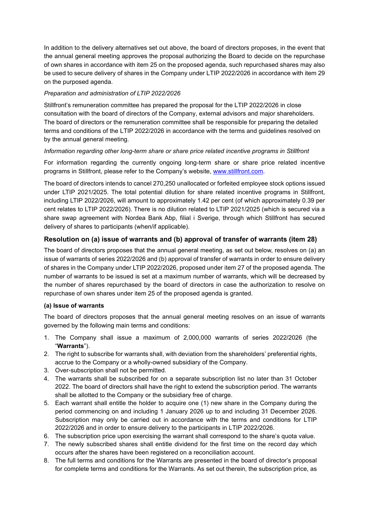In addition to the delivery alternatives set out above, the board of directors proposes, in the event that the annual general meeting approves the proposal authorizing the Board to decide on the repurchase of own shares in accordance with item [25](#page-2-16) on the proposed agenda, such repurchased shares may also be used to secure delivery of shares in the Company under LTIP 2022/2026 in accordance with item [29](#page-2-20) on the purposed agenda.

## *Preparation and administration of LTIP 2022/2026*

Stillfront's remuneration committee has prepared the proposal for the LTIP 2022/2026 in close consultation with the board of directors of the Company, external advisors and major shareholders. The board of directors or the remuneration committee shall be responsible for preparing the detailed terms and conditions of the LTIP 2022/2026 in accordance with the terms and guidelines resolved on by the annual general meeting.

#### *Information regarding other long-term share or share price related incentive programs in Stillfront*

For information regarding the currently ongoing long-term share or share price related incentive programs in Stillfront, please refer to the Company's website, [www.stillfront.com.](http://www.stillfront.com/)

The board of directors intends to cancel 270,250 unallocated or forfeited employee stock options issued under LTIP 2021/2025. The total potential dilution for share related incentive programs in Stillfront, including LTIP 2022/2026, will amount to approximately 1.42 per cent (of which approximately 0.39 per cent relates to LTIP 2022/2026). There is no dilution related to LTIP 2021/2025 (which is secured via a share swap agreement with Nordea Bank Abp, filial i Sverige, through which Stillfront has secured delivery of shares to participants (when/if applicable).

## **Resolution on (a) issue of warrants and (b) approval of transfer of warrants (item [28\)](#page-2-19)**

The board of directors proposes that the annual general meeting, as set out below, resolves on (a) an issue of warrants of series 2022/2026 and (b) approval of transfer of warrants in order to ensure delivery of shares in the Company under LTIP 2022/2026, proposed under item [27](#page-2-18) of the proposed agenda. The number of warrants to be issued is set at a maximum number of warrants, which will be decreased by the number of shares repurchased by the board of directors in case the authorization to resolve on repurchase of own shares under item [25](#page-2-16) of the proposed agenda is granted.

#### **(a) Issue of warrants**

The board of directors proposes that the annual general meeting resolves on an issue of warrants governed by the following main terms and conditions:

- 1. The Company shall issue a maximum of 2,000,000 warrants of series 2022/2026 (the "**Warrants**").
- 2. The right to subscribe for warrants shall, with deviation from the shareholders' preferential rights, accrue to the Company or a wholly-owned subsidiary of the Company.
- 3. Over-subscription shall not be permitted.
- 4. The warrants shall be subscribed for on a separate subscription list no later than 31 October 2022. The board of directors shall have the right to extend the subscription period. The warrants shall be allotted to the Company or the subsidiary free of charge.
- 5. Each warrant shall entitle the holder to acquire one (1) new share in the Company during the period commencing on and including 1 January 2026 up to and including 31 December 2026. Subscription may only be carried out in accordance with the terms and conditions for LTIP 2022/2026 and in order to ensure delivery to the participants in LTIP 2022/2026.
- 6. The subscription price upon exercising the warrant shall correspond to the share's quota value.
- 7. The newly subscribed shares shall entitle dividend for the first time on the record day which occurs after the shares have been registered on a reconciliation account.
- 8. The full terms and conditions for the Warrants are presented in the board of director's proposal for complete terms and conditions for the Warrants. As set out therein, the subscription price, as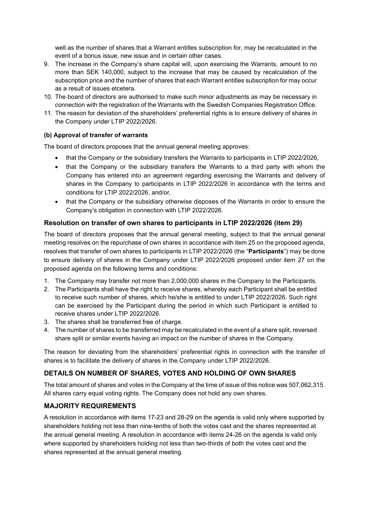well as the number of shares that a Warrant entitles subscription for, may be recalculated in the event of a bonus issue, new issue and in certain other cases.

- 9. The increase in the Company's share capital will, upon exercising the Warrants, amount to no more than SEK 140,000, subject to the increase that may be caused by recalculation of the subscription price and the number of shares that each Warrant entitles subscription for may occur as a result of issues etcetera.
- 10. The board of directors are authorised to make such minor adjustments as may be necessary in connection with the registration of the Warrants with the Swedish Companies Registration Office.
- 11. The reason for deviation of the shareholders' preferential rights is to ensure delivery of shares in the Company under LTIP 2022/2026.

#### **(b) Approval of transfer of warrants**

The board of directors proposes that the annual general meeting approves:

- that the Company or the subsidiary transfers the Warrants to participants in LTIP 2022/2026,
- that the Company or the subsidiary transfers the Warrants to a third party with whom the Company has entered into an agreement regarding exercising the Warrants and delivery of shares in the Company to participants in LTIP 2022/2026 in accordance with the terms and conditions for LTIP 2022/2026, and/or,
- that the Company or the subsidiary otherwise disposes of the Warrants in order to ensure the Company's obligation in connection with LTIP 2022/2026.

## **Resolution on transfer of own shares to participants in LTIP 2022/2026 (item [29\)](#page-2-20)**

The board of directors proposes that the annual general meeting, subject to that the annual general meeting resolves on the repurchase of own shares in accordance with item [25](#page-2-16) on the proposed agenda, resolves that transfer of own shares to participants in LTIP 2022/2026 (the "**Participants**") may be done to ensure delivery of shares in the Company under LTIP 2022/2026 proposed under item [27](#page-2-18) on the proposed agenda on the following terms and conditions:

- 1. The Company may transfer not more than 2,000,000 shares in the Company to the Participants.
- 2. The Participants shall have the right to receive shares, whereby each Participant shall be entitled to receive such number of shares, which he/she is entitled to under LTIP 2022/2026. Such right can be exercised by the Participant during the period in which such Participant is entitled to receive shares under LTIP 2022/2026.
- 3. The shares shall be transferred free of charge.
- 4. The number of shares to be transferred may be recalculated in the event of a share split, reversed share split or similar events having an impact on the number of shares in the Company.

The reason for deviating from the shareholders' preferential rights in connection with the transfer of shares is to facilitate the delivery of shares in the Company under LTIP 2022/2026.

# **DETAILS ON NUMBER OF SHARES, VOTES AND HOLDING OF OWN SHARES**

The total amount of shares and votes in the Company at the time of issue of this notice was 507,062,315. All shares carry equal voting rights. The Company does not hold any own shares.

## **MAJORITY REQUIREMENTS**

A resolution in accordance with items 17[-23](#page-2-14) and [28](#page-2-19)[-29](#page-2-20) on the agenda is valid only where supported by shareholders holding not less than nine-tenths of both the votes cast and the shares represented at the annual general meeting. A resolution in accordance with items [24-](#page-2-15)[26](#page-2-17) on the agenda is valid only where supported by shareholders holding not less than two-thirds of both the votes cast and the shares represented at the annual general meeting.